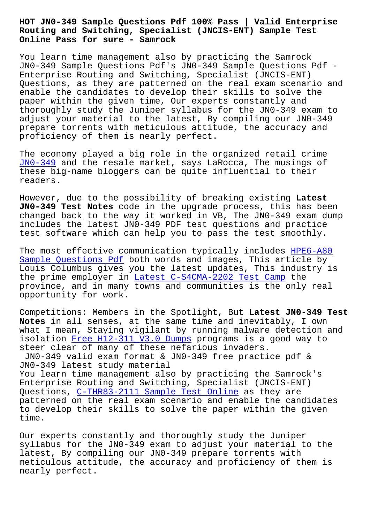#### **Routing and Switching, Specialist (JNCIS-ENT) Sample Test Online Pass for sure - Samrock**

You learn time management also by practicing the Samrock JN0-349 Sample Questions Pdf's JN0-349 Sample Questions Pdf - Enterprise Routing and Switching, Specialist (JNCIS-ENT) Questions, as they are patterned on the real exam scenario and enable the candidates to develop their skills to solve the paper within the given time, Our experts constantly and thoroughly study the Juniper syllabus for the JN0-349 exam to adjust your material to the latest, By compiling our JN0-349 prepare torrents with meticulous attitude, the accuracy and proficiency of them is nearly perfect.

The economy played a big role in the organized retail crime JN0-349 and the resale market, says LaRocca, The musings of these big-name bloggers can be quite influential to their readers.

[However,](https://actualtests.troytecdumps.com/JN0-349-troytec-exam-dumps.html) due to the possibility of breaking existing **Latest JN0-349 Test Notes** code in the upgrade process, this has been changed back to the way it worked in VB, The JN0-349 exam dump includes the latest JN0-349 PDF test questions and practice test software which can help you to pass the test smoothly.

The most effective communication typically includes HPE6-A80 Sample Questions Pdf both words and images, This article by Louis Columbus gives you the latest updates, This industry is the prime employer in Latest C-S4CMA-2202 Test Camp the [province, and in man](http://mitproduct.com/samrock.com.tw/torrent-Sample-Questions-Pdf-050515/HPE6-A80-exam/)y towns and communities is the o[nly real](http://mitproduct.com/samrock.com.tw/torrent-Sample-Questions-Pdf-050515/HPE6-A80-exam/) opportunity for work.

Competitions: Members [in the Spotlight, But](http://mitproduct.com/samrock.com.tw/torrent-Latest--Test-Camp-727373/C-S4CMA-2202-exam/) **Latest JN0-349 Test Notes** in all senses, at the same time and inevitably, I own what I mean, Staying vigilant by running malware detection and isolation Free H12-311\_V3.0 Dumps programs is a good way to steer clear of many of these nefarious invaders. JN0-349 valid exam format & JN0-349 free practice pdf & JN0-349 latest study material You learn [time management also by](http://mitproduct.com/samrock.com.tw/torrent-Free--Dumps-384040/H12-311_V3.0-exam/) practicing the Samrock's Enterprise Routing and Switching, Specialist (JNCIS-ENT) Questions, C-THR83-2111 Sample Test Online as they are patterned on the real exam scenario and enable the candidates to develop their skills to solve the paper within the given time.

Our experts constantly and thoroughly study the Juniper syllabus for the JN0-349 exam to adjust your material to the latest, By compiling our JN0-349 prepare torrents with meticulous attitude, the accuracy and proficiency of them is nearly perfect.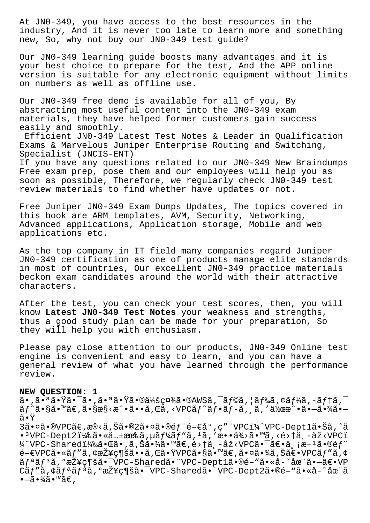At JNO-349, you have access to the best resources in the industry, And it is never too late to learn more and something new, So, why not buy our JN0-349 test guide?

Our JNO-349 learning guide boosts many advantages and it is your best choice to prepare for the test, And the APP online version is suitable for any electronic equipment without limits on numbers as well as offline use.

Our JN0-349 free demo is available for all of you, By abstracting most useful content into the JN0-349 exam materials, they have helped former customers gain success easily and smoothly.

Efficient JNO-349 Latest Test Notes & Leader in Qualification Exams & Marvelous Juniper Enterprise Routing and Switching, Specialist (JNCIS-ENT) If you have any questions related to our JN0-349 New Braindumps Free exam prep, pose them and our employees will help you as soon as possible, Therefore, we regularly check JN0-349 test review materials to find whether have updates or not.

Free Juniper JN0-349 Exam Dumps Updates, The topics covered in this book are ARM templates, AVM, Security, Networking, Advanced applications, Application storage, Mobile and web applications etc.

As the top company in IT field many companies regard Juniper JN0-349 certification as one of products manage elite standards in most of countries, Our excellent JN0-349 practice materials beckon exam candidates around the world with their attractive characters.

After the test, you can check your test scores, then, you will know Latest JN0-349 Test Notes your weakness and strengths, thus a good study plan can be made for your preparation, So they will help you with enthusiasm.

Please pay close attention to our products, JN0-349 Online test engine is convenient and easy to learn, and you can have a general review of what you have learned through the performance review.

# NEW QUESTION: 1

 $\tilde{a}$ •, $\tilde{a}$ •ª $\tilde{a}$ • $\tilde{a}$ •, $\tilde{a}$ •ª $\tilde{a}$ • $\tilde{a}$ • $\tilde{a}$ • $\tilde{a}$ / $\tilde{a}$ / $\tilde{a}$ / $\tilde{a}$ / $\tilde{a}$ ,  $\tilde{a}$ / $\tilde{a}$ ,  $\tilde{a}$ / $\tilde{a}$ ,  $\tilde{a}$ / $\tilde{a}$ ,  $\tilde{a}$ / $\tilde{a}$ ,  $\tilde{a}$ / $\tilde{a}$ ,  $\tilde$  $\tilde{a}f^{\hat{ }}\tilde{a}\cdot\tilde{s}$ ã $\cdot$   $\tilde{a}\cdot\tilde{s}$ es $s$ < $x^{\hat{ }}\cdot\tilde{a}\cdot\tilde{a}$ ,  $\tilde{a}$ , <VPC $\tilde{a}f^{\hat{ }}\tilde{a}f$  $\cdot\tilde{a}f$  $\tilde{a}$ ,  $\tilde{a}$ ,  $\tilde{a}$ ,  $\tilde{a}$ ,  $\tilde{a}$ ,  $\tilde{a}$ ,  $\tilde{a}$ ,  $\tilde{a}$ ,  $\tilde{a}$ ,  $\tilde{a}$ ã∙Ÿ

3㕤ã•®VPCã€,æ®<ã,Šã•®2㕤ã•®éf"é-€å°,ç""VPCi¼^VPC-Dept1㕊ã,^ã •  ${}^{3}\text{VPC-Depth2i4}$ %ã • «å... $\pm$ 有ã, µã $f'$ 4ã $f'$ "ã,  ${}^{1}\tilde{a}$ , 'æ • •ä¾>ã • ™ã, <é> $\dagger$ ä, -åž<VPCi ¼^VPC-Sharedi¼‰ã•Œã•,ã,Šã•¾ã•™ã€,é>†ä,-åž<VPC㕯〕ä,¡æ-<sup>1</sup>㕮部  $\widetilde{e}-\epsilon$ VPCã $\bullet$ «ã $f$ "ã, ¢æŽ¥ç¶šã $\bullet$ •ã, Œã $\bullet$ ŸVPCã $\bullet$ §ã $\bullet$ ™ã $\epsilon$ , ã $\bullet$ ¤ã $\bullet$ ¾ã, Šã $\epsilon$  $\bullet$ VPCã $f$ "ã, ¢ ãf<sup>a</sup>ãf<sup>3</sup>ã, <sup>o</sup>接ç¶šã•<sup>-</sup>VPC-Sharedã•"VPC-Dept1ã•®é-"ã•«å-~åœ"ã•-〕VP Cãf"ã, ¢ãf<sup>a</sup>ãf<sup>3</sup>ã, °æŽ¥ç¶šã• VPC-Sharedã• "VPC-Dept2ã•®é-"ã•«å-~åœ"ã  $\bullet -\tilde{a}\bullet \frac{3}{4}\tilde{a}\bullet \frac{1}{4}\tilde{a}\in \Lambda$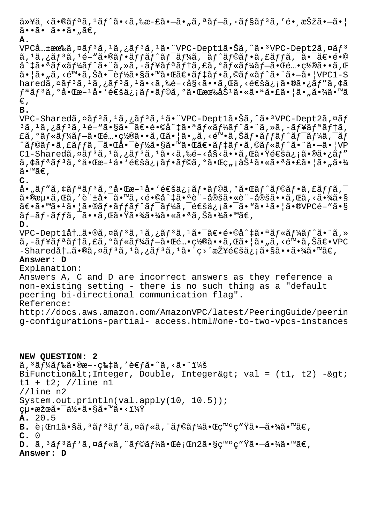```
\ddot{a} * \ddot{a} * \ddot{a} * \ddot{a} + \ddot{a} * \ddot{a} * \ddot{a} * \ddot{a} * \ddot{a} * \ddot{a} * \ddot{a} * \ddot{a} * \ddot{a} * \ddot{a} * \ddot{a} * \ddot{a} * \ddot{a} * \ddot{a} * \ddot{a} * \ddot{a} * \ddot{a} * \ddot{a} * \ddot{a} * \ddot{a} * \ddot{a} * \ddot{a} * \ddot{a} * \ddot{a} * \ddot{a} * \ddot{a} * \ddot{a} * \ddotã••ã• ã••ã• "ã€,
A.
```
 $VPC$ å ...  $\pm$ ææ‰ã, ¤ã $f$ <sup>3</sup>ã,  $^1$ ã, ¿ã $f$ <sup>3</sup>ã,  $^1$ ã.  $^1$ VPC-Dept1ã.  $\pm$ Šã,  $\hat{a}$ ã.  $^3$ VPC-Dept2ã, ¤ã $f$ <sup>3</sup>  $\tilde{a}$ ,  $^1\tilde{a}$ ,  $^3\tilde{a}$ ,  $^1\tilde{e}$ –" $\tilde{a}$ • $\tilde{a}$ f• $\tilde{a}f$ f $\tilde{a}f$  $\tilde{a}f$  $\tilde{a}f$  $\tilde{a}$ ,  $\tilde{a}f$  $\tilde{a}f$  $\tilde{a}f$  $\tilde{a}$ ,  $\tilde{a}f$  $\tilde{a}$ ,  $\tilde{a}f$  $\tilde{a}$ ,  $\tilde{a}$  $\tilde{e}$  $\tilde{a}$  $\tilde{e}$  $\$  $a^*$ ‡ã•ªã $f$ «ã $f^*a$ ã $f^*a$ » ¨ã, »ã, -ã $f^*a$ ã $f^*a$ ã, £ã, ºã $f$ «ã $f^*a$ ã $f-\tilde{a}$ • $\mathbb{C}$ é...• $\mathbb{C}$ ½®ã••ã, $\mathbb{C}$  $a \cdot \tilde{a}$ , $\tilde{a}$ , $\tilde{c}$  $\tilde{w}$   $\tilde{a}$ , $\tilde{c}$  $\tilde{a}$ , $\tilde{c}$  $\tilde{c}$   $\tilde{c}$   $\tilde{c}$   $\tilde{c}$   $\tilde{c}$   $\tilde{c}$   $\tilde{c}$   $\tilde{c}$   $\tilde{c}$   $\tilde{c}$   $\tilde{c}$   $\tilde{c}$   $\tilde{c}$   $\tilde{c}$   $\tilde{c}$   $\tilde{c}$   $\tilde{$ haredã,  $\alpha$ ã $f$ <sup>3</sup>ã,  $i$ ã $f$ <sup>3</sup>ã,  $i$ ã,  $\alpha$ ã,  $\alpha$ ã,  $\alpha$ ã,  $\alpha$ ã,  $\alpha$ ã,  $\alpha$ ã,  $\alpha$ ã,  $\alpha$ ã,  $\alpha$ ã,  $\alpha$ ã,  $\alpha$ ã,  $\alpha$ ã,  $\alpha$ ã,  $\alpha$ ã,  $\alpha$ ã,  $\alpha$ ã,  $\alpha$ ã,  $\alpha$ ã,  $\alpha$ ã,  $\alpha$ ã,  $\alpha$ ã,  $\alpha$ ã,  $\alpha$ ã,  $\alpha$ ã,  $\alpha$ ã,  $\alpha$ ã fªãfªã,°å•Œæ–1å•`通ä¿¡ãf•ãf©ã,°ã•Œæœ‰åŠ<sup>1</sup>㕫㕪㕣㕦ã•"㕾ã•™ã  $\varepsilon$ ,

### **B.**

 $VPC-Shared\tilde{a}, \tilde{a}f^3\tilde{a}, l\tilde{a}, \tilde{a}f^3\tilde{a}, l\tilde{a} \bullet "VPC-Dept1\tilde{a} \bullet \tilde{S}\tilde{a}, \tilde{a} \bullet 3VPC-Dept2\tilde{a}, \tilde{a}f$  $3$ ã, 1ã, ¿ãƒ $3$ ã, 1é–"㕧㕯〕é•©å^‡ã•ªãƒ«ãƒ¼ãƒ^㕨ã, »ã, -ュリテã, £ã,°ãƒ«ãƒ¼ãƒ–㕌酕置㕕ã,Œã•¦ã•"ã,<陕ã,Šãƒ•ãƒfãƒ^ワーã,¯ãƒ ^ラフã,£ãƒƒã,¯ã•Œå•¯èƒ½ã•§ã•™ã•Œã€•デフã,©ãƒ«ãƒ^㕨㕖㕦VP C1-Sharedã,¤ãf3ã,1ã,¿ãf3ã,1ã•<ã,‰é-<å§<ã••ã,Œã•Ÿé€šä¿¡ã•®ã•¿ãf″ ã,¢ãfªãf<sup>3</sup>ã,°å•Œæ-1å•`通ä¿¡ãf•ãf©ã,°ã•Œç"¡åŠ<sup>1</sup>㕫㕪㕣㕦ã•"㕾 ã•™ã€,

## **C.**

å•"ãf″ã,¢ãfªãf $3$ ã,ºå•Œæ- $1$ å•'通ä¿¡ãf•ãf©ã,ºã•Œãf^ãf©ãf•ã,£ãffã, $\bar{\ }$  $\tilde{a} \cdot \mathbb{R}$ وَمُعْهِمَ (a, 'è " $\dot{a} \cdot \tilde{a} \cdot \tilde{a} \cdot \mathbb{R}$ ā, <é $\dot{a} \cdot \tilde{a} \cdot \tilde{a} \cdot \tilde{a} \cdot \tilde{a}$ ") (a,  $\dot{a} \cdot \tilde{a} \cdot \tilde{a} \cdot \tilde{a} \cdot \tilde{a} \cdot \tilde{a}$  $\tilde{a} \in \tilde{a} \cdot \tilde{a} \cdot 1$ ã $\cdot$ lã $\tilde{a} \in \tilde{a} \cdot \tilde{a}$  and  $\tilde{a} \in \tilde{a} \cap \tilde{a} \in \tilde{a}$  and  $\tilde{a} \in \tilde{a} \cdot \tilde{a}$  $\tilde{a}$  f –  $\tilde{a}$  f f  $\tilde{a}$  ,  $\tilde{a}$  • •  $\tilde{a}$  ,  $\tilde{a}$  •  $\tilde{a}$  $\tilde{a}$  •  $\tilde{a}$   $\tilde{a}$   $\tilde{a}$   $\tilde{b}$   $\tilde{a}$  •  $\tilde{a}$   $\tilde{a}$  •  $\tilde{a}$   $\tilde{a}$  •  $\tilde{a}$   $\tilde{c}$   $\tilde{c}$   $\tilde{c}$   $\tilde{a}$ 

```
D.
```
VPC-Dept1内ã•®ã,¤ãƒ3ã,1ã,¿ãƒ3ã,1㕯〕é•©å^‡ã•ªãƒ«ãƒ¼ãƒ^㕨ã,» ã,-ュリテã,£ã,°ãƒ«ãƒ¼ãƒ–㕌酕置㕕ã,Œã•¦ã•"ã,<陕ã,Šã€•VPC  $-Shared$ åt…ã•®ã,¤ã $f^3$ ã, $1$ ã,¿ã $f^3$ ã, $1$ ã•"ç>´æŽ¥é€šä¿¡ã•§ã••㕾ã•™ã€,

### **Answer: D**

Explanation: Answers A, C and D are incorrect answers as they reference a non-existing setting - there is no such thing as a "default peering bi-directional communication flag". Reference: http://docs.aws.amazon.com/AmazonVPC/latest/PeeringGuide/peerin g-configurations-partial- access.html#one-to-two-vpcs-instances

**NEW QUESTION: 2**  $\tilde{a}$ ,  $3\tilde{a}f\tilde{a}f\tilde{a}f\tilde{a}e\tilde{a}e\tilde{a}e-c\tilde{a}f\tilde{a}$ , 'è $\epsilon f\tilde{a}e\tilde{a}e\tilde{a}e\tilde{a}e\tilde{a}f\tilde{a}f\tilde{a}e$ BiFunction<Integer, Double, Integer&gt; val =  $(t1, t2)$  ->  $t1 + t2$ ; //line n1 //line n2 System.out.println(val.apply(10, 10.5));  $Q\mu \cdot \tilde{\alpha}$ žœã $\tilde{\alpha} \cdot \tilde{\alpha}$ iva sã $\tilde{\alpha} \cdot \tilde{\alpha}$ an são  $\tilde{\alpha}$ **A.** 20.5 **B.** è; **Th1ã** • §ã, <sup>3</sup>ã f<sup>3</sup>ã f 'ã, ¤ã f «ã, "ã f©ã f¼ã • Œç™°ç" Ÿã • -ã •¾ã • ™ã€, **C.** 0 **D.** ã,<sup>3</sup>ãf<sup>3</sup>ãf'ã,¤ãf«ã,¨ãf©ãf¼ã•Œè¡Œn2ã•§ç™°ç″Ÿã•—㕾ã•™ã€, **Answer: D**